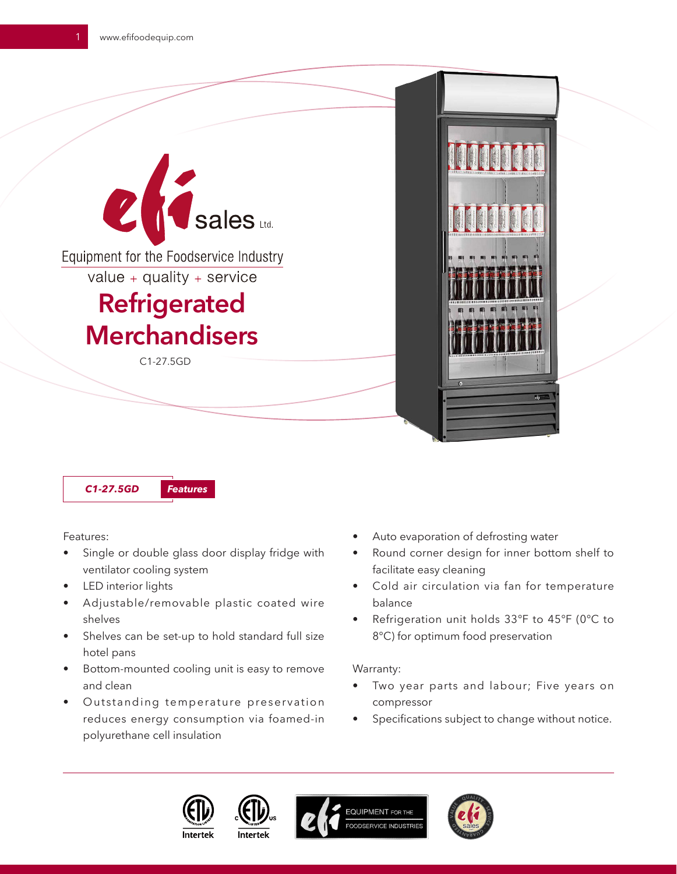



Features:

- Single or double glass door display fridge with ventilator cooling system
- LED interior lights
- Adjustable/removable plastic coated wire shelves
- Shelves can be set-up to hold standard full size hotel pans
- Bottom-mounted cooling unit is easy to remove and clean
- Outstanding temperature preservation reduces energy consumption via foamed-in polyurethane cell insulation
- Auto evaporation of defrosting water
- Round corner design for inner bottom shelf to facilitate easy cleaning
- Cold air circulation via fan for temperature balance
- Refrigeration unit holds 33℉ to 45℉ (0℃ to 8°C) for optimum food preservation

## Warranty:

- Two year parts and labour; Five years on compressor
- Specifications subject to change without notice.